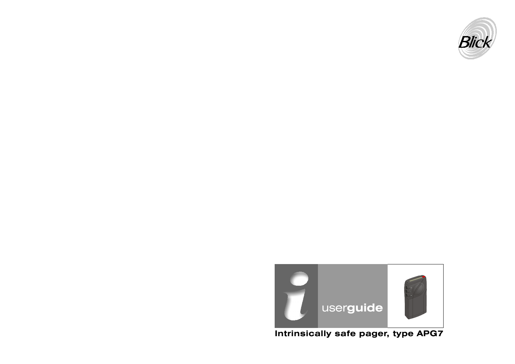



**Intrinsically safe pager, type APG7**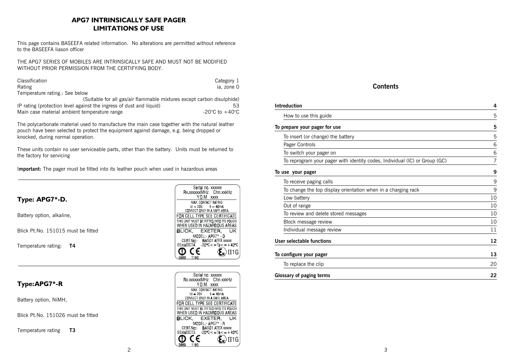## **APG7 INTRINSICALLY SAFE PAGER LIMITATIONS OF USE**

This page contains BASEEFA related information. No alterations are permitted without reference to the BASEEFA liason officer

THE APG7 SERIES OF MOBILES ARE INTRINSICALLY SAFE AND MUST NOT BE MODIFIED WITHOUT PRIOR PERMISSION FROM THE CERTIFYING BODY.

| Classification                                                         | Category 1                         |
|------------------------------------------------------------------------|------------------------------------|
| Rating                                                                 | ia, zone 0                         |
| Temperature rating.: See below                                         |                                    |
| (Suitable for all gas/air flammable mixtures except carbon disulphide) |                                    |
| IP rating (protection level against the ingress of dust and liquid)    | 53                                 |
| Main case material ambient temperature range                           | $-20^{\circ}$ C to $+40^{\circ}$ C |

The polycarbonate material used to manufacture the main case together with the natural leather pouch have been selected to protect the equipment against damage, e.g. being dropped or knocked, during normal operation.

These units contain no user serviceable parts, other than the battery. Units must be returned to the factory for servicing

I**mportant:** The pager must be fitted into its leather pouch when used in hazardous areas



## **Type:APG7\*-R**

Battery option, NiMH,

Blick Pt.No. 151026 must be fitted

Temperature rating **T3**

| Bx xxxxxxMHz Chn xxkHz<br>YOM XXXX<br>MAX. CONTACT RATING                    |
|------------------------------------------------------------------------------|
|                                                                              |
|                                                                              |
|                                                                              |
| $U_1 = 20V$ , $I_1 = 40mA$<br>CONNECT ONLY IN A SAFE AREA                    |
|                                                                              |
| FOR CELL TYPE SEE CERTIFICATE                                                |
| THIS UNIT MUST BE FITTED INTO ITS POUCH                                      |
| WHEN USED IN HAZARDOUS AREAS                                                 |
| <b>BLICK. EXETER.</b><br>UΚ                                                  |
| MODEL - APG7* - D                                                            |
| CERT No. BASD1 ATEX xxxxx                                                    |
| $EExi$ a $\Pi$ CT4 $20^{\circ}$ C $\lt$ $=$ Ta $\lt$ $=$ $+$ 40 $^{\circ}$ C |
| II1G                                                                         |
| 1180                                                                         |

Serial no. xxxxxx Rx.xxxxxMHz Chn.xxkHz YOM XXXX MAX. CONTACT RATING  $Ui = 20V$   $Ii = 40mA$ <br>CONNECT ONLY IN A SAFE AREA FOR CELL TYPE SEE CERTIFICATE THIS UNIT MUST BE FITTED INTO ITS POUCH<br>WHEN USED IN HAZARDOUS AREAS **BLICK, EXETER, UK** MODEL:- APG7\*-R<br>CERT.No:- BAS01 ATEX xxxxx<br>EExiaIICT3. \_-20°C<= Ta<= +40°C

 $\langle \xi_{\mathbf{x}} \rangle$ II1G

ወ CE

 $1180$ 0889

#### **Contents**

| <b>Introduction</b>                                                        | 4  |
|----------------------------------------------------------------------------|----|
| How to use this guide                                                      | 5  |
| To prepare your pager for use                                              | 5  |
| To insert (or change) the battery                                          | 5  |
| Pager Controls                                                             | 6  |
| To switch your pager on                                                    | 6  |
| To reprogram your pager with identity codes, Individual (IC) or Group (GC) | 7  |
| To use your pager                                                          | 9  |
| To receive paging calls                                                    | 9  |
| To change the top display orientation when in a charging rack              | 9  |
| Low battery                                                                | 10 |
| Out of range                                                               | 10 |
| To review and delete stored messages                                       | 10 |
| Block message review                                                       | 10 |
| Individual message review                                                  | 11 |
| User selectable functions                                                  | 12 |
| To configure your pager                                                    | 13 |
| To replace the clip                                                        | 20 |
| <b>Glossary of paging terms</b>                                            | 22 |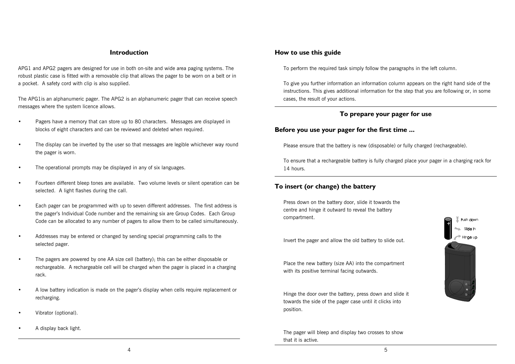#### **Introduction**

APG1 and APG2 pagers are designed for use in both on-site and wide area paging systems. The robust plastic case is fitted with a removable clip that allows the pager to be worn on a belt or in a pocket. A safety cord with clip is also supplied.

The APG1is an alphanumeric pager. The APG2 is an alphanumeric pager that can receive speech messages where the system licence allows.

- Pagers have a memory that can store up to 80 characters. Messages are displayed in blocks of eight characters and can be reviewed and deleted when required.
- The display can be inverted by the user so that messages are legible whichever way round the pager is worn.
- The operational prompts may be displayed in any of six languages.
- Fourteen different bleep tones are available. Two volume levels or silent operation can be selected. A light flashes during the call.
- Each pager can be programmed with up to seven different addresses. The first address is the pagerís Individual Code number and the remaining six are Group Codes. Each Group Code can be allocated to any number of pagers to allow them to be called simultaneously.
- Addresses may be entered or changed by sending special programming calls to the selected pager.
- The pagers are powered by one AA size cell (battery); this can be either disposable or rechargeable. A rechargeable cell will be charged when the pager is placed in a charging rack.
- A low battery indication is made on the pager's display when cells require replacement or recharging.
- Vibrator (optional).
- A display back light.

#### **How to use this guide**

To perform the required task simply follow the paragraphs in the left column.

To give you further information an information column appears on the right hand side of the instructions. This gives additional information for the step that you are following or, in some cases, the result of your actions.

#### **To prepare your pager for use**

#### **Before you use your pager for the first time ...**

Please ensure that the battery is new (disposable) or fully charged (rechargeable).

To ensure that a rechargeable battery is fully charged place your pager in a charging rack for 14 hours.

## **To insert (or change) the battery**

Press down on the battery door, slide it towards the centre and hinge it outward to reveal the battery compartment.



Invert the pager and allow the old battery to slide out.

Place the new battery (size AA) into the compartment with its positive terminal facing outwards.

Hinge the door over the battery, press down and slide it towards the side of the pager case until it clicks into position.

The pager will bleep and display two crosses to show that it is active.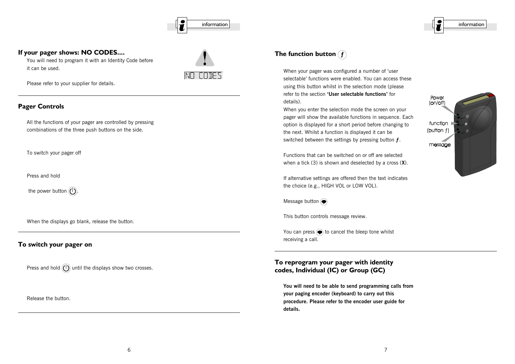

#### **If your pager shows: NO CODES....**

You will need to program it with an Identity Code before it can be used.



Please refer to your supplier for details.

### **Pager Controls**

All the functions of your pager are controlled by pressing combinations of the three push buttons on the side.

To switch your pager off

Press and hold

the power button  $(\mathsf{I})$ .

When the displays go blank, release the button.

## **To switch your pager on**

Press and hold  $(1)$  until the displays show two crosses.

Release the button.

# **The function button f**

When your pager was configured a number of 'user selectable' functions were enabled. You can access these using this button whilst in the selection mode (please refer to the section 'User selectable functions' for details).

When you enter the selection mode the screen on your pager will show the available functions in sequence. Each option is displayed for a short period before changing to the next. Whilst a function is displayed it can be switched between the settings by pressing button **É**.

Functions that can be switched on or off are selected when a tick (3) is shown and deselected by a cross (**X**).

If alternative settings are offered then the text indicates the choice (e.g., HIGH VOL or LOW VOL).

Message button  $\textcircled{\footnotesize\bullet}$ 

This button controls message review.

You can press  $\bigcirc$  to cancel the bleep tone whilst receiving a call.

**To reprogram your pager with identity codes, Individual (IC) or Group (GC)**

**You will need to be able to send programming calls from your paging encoder (keyboard) to carry out this procedure. Please refer to the encoder user guide for details.**

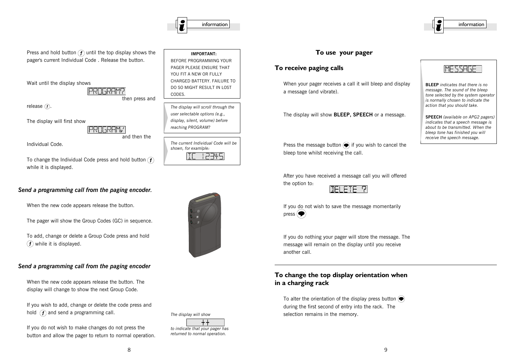

Press and hold button  $\widehat{f}$  until the top display shows the pager's current Individual Code . Release the button.

Wait until the display shows

#### **PROGRAM?** then press and

release  $(f)$ .

The display will first show

**PROGRAM** 

and then the

Individual Code.

To change the Individual Code press and hold button  $\mathcal{F}$ while it is displayed.

## *Send a programming call from the paging encoder.*

When the new code appears release the button.

The pager will show the Group Codes (GC) in sequence.

To add, change or delete a Group Code press and hold  $(f)$  while it is displayed.

#### *Send a programming call from the paging encoder*

When the new code appears release the button. The display will change to show the next Group Code.

If you wish to add, change or delete the code press and hold  $\left(\widehat{f}\right)$  and send a programming call.

If you do not wish to make changes do not press the button and allow the pager to return to normal operation.



*The display will scroll through the user selectable options (e.g., display, silent, volume) before reaching PROGRAM?*

*The current Individual Code will be shown, for examlple:*  $17745$ 



*The display will show*  $\rm +$   $\rm +$ 

*to indicate that your pager has returned to normal operation.*

## **To use your pager**

## **To receive paging calls**

When your pager receives a call it will bleep and display a message (and vibrate).

The display will show **BLEEP, SPEECH** or a message.

Press the message button  $\bigcirc$  if you wish to cancel the bleep tone whilst receiving the call.

After you have received a message call you will offered the option to:



If you do nothing your pager will store the message. The message will remain on the display until you receive another call.

## **To change the top display orientation when in a charging rack**

To alter the orientation of the display press button  $\left(\bigcirc$ during the first second of entry into the rack. The selection remains in the memory.



**BLEEP** *indicates that there is no message. The sound of the bleep tone selected by the system operator is normally chosen to indicate the action that you should take.*

**SPEECH** *(available on APG2 pagers) indicates that a speech message is about to be transmitted. When the bleep tone has finished you will receive the speech message.*

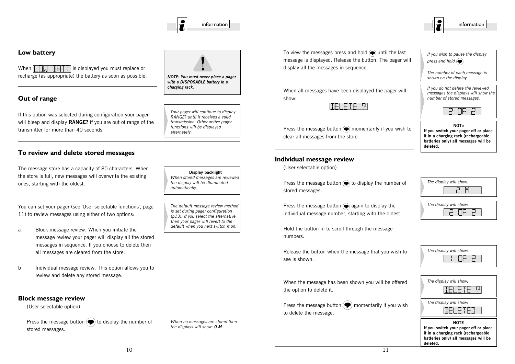

*NOTE: You must never place a pager with a DISPOSABLE battery in a*

*Your pager will continue to display RANGE? until it receives a valid transmission. Other active pager functions will be displayed*

*charging rack.*

*alternately.*

## **Low battery**

When  $\parallel \Box \parallel$   $\Box \Box \Box$  is displayed you must replace or recharge (as appropriate) the battery as soon as possible.

## **Out of range**

If this option was selected during configuration your pager will bleep and display **RANGE?** if you are out of range of the transmitter for more than 40 seconds.

#### **To review and delete stored messages**

The message store has a capacity of 80 characters. When the store is full, new messages will overwrite the existing ones, starting with the oldest.

You can set your pager (see 'User selectable functions', page 11) to review messages using either of two options:

- a Block message review. When you initiate the message review your pager will display all the stored messages in sequence. If you choose to delete then all messages are cleared from the store.
- b Individual message review. This option allows you to review and delete any stored message.

#### **Block message review**

(User selectable option)

Press the message button  $\left( \bigcirc \right)$  to display the number of stored messages.

**Display backlight** *When stored messages are reviewed the display will be illuminated automatically.*

*The default message review method is set during pager configuration (p13). If you select the alternative then your pager will revert to the default when you next switch it on.*

*When no messages are stored then the displays will show: 0 M*

To view the messages press and hold  $\bigcirc$  until the last message is displayed. Release the button. The pager will display all the messages in sequence.

When all messages have been displayed the pager will show:



Press the message button  $\bigcirc$  momentarily if you wish to clear all messages from the store.

#### **Individual message review**

(User selectable option)

Press the message button  $\odot$  to display the number of stored messages.

Press the message button  $\bigcirc$  again to display the individual message number, starting with the oldest.

Hold the button in to scroll through the message numbers.

Release the button when the message that you wish to see is shown.

When the message has been shown you will be offered the option to delete it.

Press the message button  $\left( \bigcirc \right)$  momentarily if you wish to delete the message.

*The display will show:* M ק

**deleted.**

*If you wish to pause the display*

*The number of each message is shown on the display.*

*If you do not delete the reviewed messages the displays will show the number of stored messages.*

**NOTe If you switch your pager off or place it in a charging rack (rechargeable batteries only) all messages will be**

*press and hold* 



| The display will show: |
|------------------------|
|                        |

| The display will show:<br>31 E TE . |
|-------------------------------------|
| The display will show:<br>╶╿┠╸╎┣╸   |
| NOTF                                |

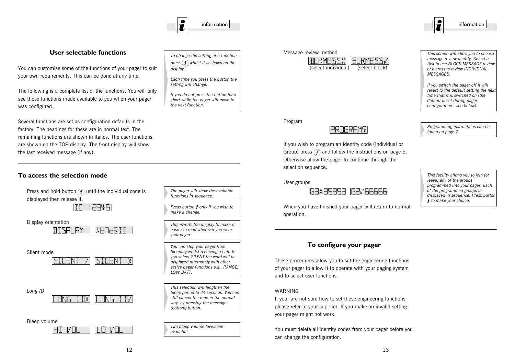# $\mathcal{I}$  information information information information information information

#### **User selectable functions**

You can customise some of the functions of your pager to suit your own requirements. This can be done at any time.

The following is a complete list of the functions. You will only see those functions made available to you when your pager was configured.

Several functions are set as configuration defaults in the factory. The headings for these are in normal text. The remaining functions are shown in italics. The user functions are shown on the TOP display. The front display will show the last received message (if any).

#### **To access the selection mode**

Press and hold button  $\left(\widehat{f}\right)$  until the individual code is displayed then release it.

[TE | 2345]

Display orientation

WH JHK TIT ITI SPI AY  $\overline{\phantom{a}}$ 

Silent mode

SILENT V SILENT X

*Long ID*

I ANG IAX  $\parallel$  nns th $\prime$ 

Bleep volume

-l/N  $\overline{a}$ חע חו

| To change the setting of a function<br>press $(f)$ whilst it is shown on the<br>display. |
|------------------------------------------------------------------------------------------|
| Each time you press the button the                                                       |

*Each time you press the button the setting will change.*

*If you do not press the button for a short while the pager will move to the next function.*

*The pager will show the available functions in sequence.*

*Press button É only if you wish to*

*This inverts the display to make it easier to read wherever you wear*

*You can stop your pager from bleeping whilst receiving a call. If you select SILENT the word will be displayed alternately with other active pager functions e.g., RANGE,*

*This selection will lengthen the bleep period to 24 seconds. You can still cancel the tone in the normal way by pressing the message*

*Two bleep volume levels are*

*make a change.*

*your pager.*

*LOW BATT.*

*(bottom) button.*

*available.*



(select individual) (select block)

*This screen will allow you to choose message review facility. Select a tick to use BLOCK MESSAGE review or a cross to review INDIVIDUAL MESSAGES.*

*If you switch the pager off it will revert to the default setting the next time that it is switched on (the default is set during pager configuration - see below).*

*Programming instructions can be*

*found on page 7.*

Program

# **PROGRAM?**

If you wish to program an identity code (Individual or Group) press  $\hat{f}$  and follow the instructions on page 5. Otherwise allow the pager to continue through the selection sequence.

User groups



When you have finished your pager will return to normal operation.

*This facility allows you to join (or leave) any of the groups programmed into your pager. Each of the programmed groups is displayed in sequence. Press button É to make your choice.*

## **To configure your pager**

These procedures allow you to set the engineering functions of your pager to allow it to operate with your paging system and to select user functions.

#### WARNING

If your are not sure how to set these engineering functions please refer to your supplier. If you make an invalid setting your pager might not work.

You must delete all identity codes from your pager before you can change the configuration.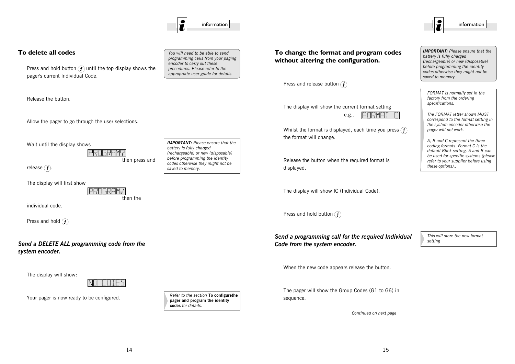

#### **To delete all codes**

Press and hold button  $\widehat{f}$  until the top display shows the pager's current Individual Code.

Release the button.

Allow the pager to go through the user selections.

Wait until the display shows

**IPRNGRAM?** then press and

release  $\bigcap$ .

The display will first show

**PROGRAM** then the

individual code.

Press and hold  $(f)$ 

*Send a DELETE ALL programming code from the system encoder.*

The display will show:



Your pager is now ready to be configured.

*You will need to be able to send programming calls from your paging encoder to carry out these procedures. Please refer to the appropriate user guide for details.*

*IMPORTANT: Please ensure that the*

*(rechargeable) or new (disposable) before programming the identity codes otherwise they might not be*

*Refer to the section* **To configurethe pager and program the identity**

**codes** *for details.*

*battery is fully charged*

*saved to memory.*

**To change the format and program codes without altering the configuration.**

Press and release button  $(f)$ 

The display will show the current format setting



Whilst the format is displayed, each time you press  $(f)$ the format will change.

e.g.,

Release the button when the required format is displayed.

The display will show IC (Individual Code).

Press and hold button  $(f)$ 

*Send a programming call for the required Individual Code from the system encoder.*

*This will store the new format setting*

When the new code appears release the button.

The pager will show the Group Codes (G1 to G6) in sequence.

*Continued on next page*

*IMPORTANT: Please ensure that the battery is fully charged (rechargeable) or new (disposable) before programming the identity codes otherwise they might not be saved to memory.*

*FORMAT is normally set in the factory from the ordering specifications.*

*The FORMAT letter shown MUST correspond to the format setting in the system encoder otherwise the pager will not work.*

*A, B and C represent the three coding formats. Format C is the default Blick setting. A and B can be used for specific systems (please refer to your supplier before using these options)..*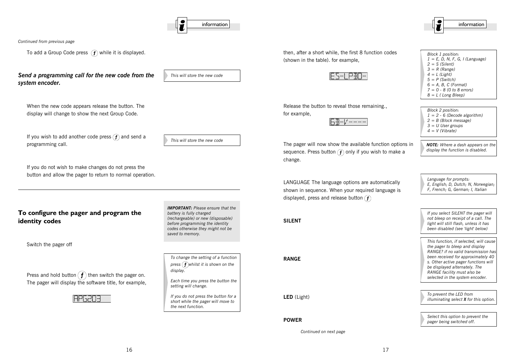

*Continued from previous page*

To add a Group Code press  $(f)$  while it is displayed.

#### *Send a programming call for the new code from the system encoder.*

*This will store the new code*

When the new code appears release the button. The display will change to show the next Group Code.

If you wish to add another code press  $\left(\mathbf{f}\right)$  and send a programming call.

*This will store the new code*

If you do not wish to make changes do not press the button and allow the pager to return to normal operation.

#### **To configure the pager and program the identity codes**

Switch the pager off

Press and hold button  $\left(f\right)$  then switch the pager on. The pager will display the software title, for example,

*IMPORTANT: Please ensure that the battery is fully charged (rechargeable) or new (disposable) before programming the identity codes otherwise they might not be saved to memory.*

*To change the setting of a function press*  $\left(f\right)$ *whilst it is shown on the display.*

*Each time you press the button the setting will change.*

*If you do not press the button for a short while the pager will move to the next function.*

then, after a short while, the first 8 function codes (shown in the table). for example,

## IES-I PAN-I

Release the button to reveal those remaining., for example,

The pager will now show the available function options in sequence. Press button  $\widehat{f}$  only if you wish to make a change.

LANGUAGE The language options are automatically shown in sequence. When your required language is displayed, press and release button  $(f)$ 

#### **SILENT**

**RANGE**

**LED** (Light)

#### **POWER**

*Continued on next page*

*Block 1 position: 1 = E, D, N, F, G, I (Language) 2 = S (Silent) 3 = R (Range) 4 = L (Light) 5 = P (Switch) 6 = A, B, C (Format) 7 = 0 - 8 (0 to 8 errors) 8 = L ( Long Bleep)*

*Block 2 position: 1 = 2 - 6 (Decode algorithm) 2 = B (Block message) 3 = U User groups 4 = V (Vibrate)*

*NOTE: Where a dash appears on the display the function is disabled.*

*Language for prompts: E, English; D, Dutch; N, Norwegian; F, French; G, German; I, Italian*

*If you select SILENT the pager will not bleep on receipt of a call. The light will still flash, unless it has been disabled (see 'light' below)*

*This function, if selected, will cause the pager to bleep and display RANGE? if no valid transmission has been received for approximately 40 s. Other active pager functions will be displayed alternately. The RANGE facility must also be selected in the system encoder.*

*To prevent the LED from illuminating select X for this option.*

*Select this option to prevent the pager being switched off.*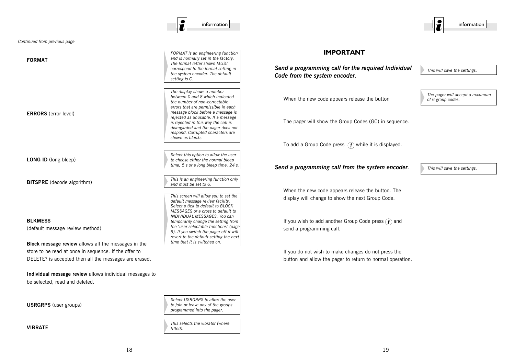**USRGRPS** (user groups)

**VIBRATE**

be selected, read and deleted.

**LONG ID** (long bleep)

**ERRORS** (error level)

**FORMAT**

*Continued from previous page*

**BITSPRE** (decode algorithm)

**BLKMESS**

(default message review method)

**Block message review** allows all the messages in the store to be read at once in sequence. If the offer to DELETE? is accepted then all the messages are erased.

**Individual message review** allows individual messages to

*FORMAT is an engineering function and is normally set in the factory. The format letter shown MUST correspond to the format setting in the system encoder. The default setting is C.*

*The display shows a number between 0 and 8 which indicated the number of non-correctable errors that are permissible in each message block before a message is rejected as unusable. If a message is rejected in this way the call is disregarded and the pager does not respond. Corrupted characters are shown as blanks.*

*Select this option to allow the user to choose either the normal bleep time, 5 s or a long bleep time, 24 s.*

*This is an engineering function only and must be set to 6.*

*This screen will allow you to set the default message review facility. Select a tick to default to BLOCK MESSAGES or a cross to default to INDIVIDUAL MESSAGES. You can temporarily change the setting from the "user selectable functions" (page 9). If you switch the pager off it will revert to the default setting the next time that it is switched on.*

*Select USRGRPS to allow the user to join or leave any of the groups programmed into the pager.*

*This selects the vibrator (where*

*fitted).*

**IMPORTANT**

*Send a programming call for the required Individual Code from the system encoder*.

When the new code appears release the button

The pager will show the Group Codes (GC) in sequence.

To add a Group Code press  $\widehat{f}$  while it is displayed.

*Send a programming call from the system encoder.*

*This will save the settings.*

*This will save the settings.*

*of 6 group codes.*

*The pager will accept a maximum*

When the new code appears release the button. The display will change to show the next Group Code.

If you wish to add another Group Code press  $\mathcal{F}$  and send a programming call.

If you do not wish to make changes do not press the button and allow the pager to return to normal operation.



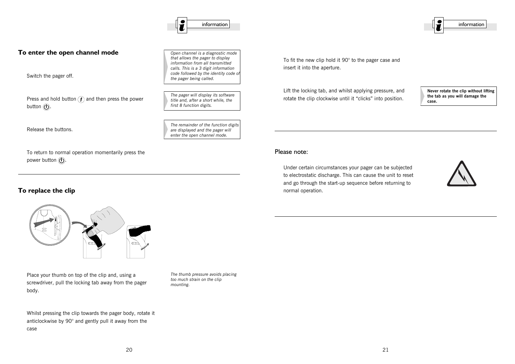20  $\hspace{1.5cm}$  21

#### **To enter the open channel mode**

Switch the pager off.

Press and hold button  $\widehat{f}$  and then press the power button  $\circled{O}$ .

Release the buttons.

To return to normal operation momentarily press the power button  $\mathbb{\overline{O}}$ .

#### **To replace the clip**

body.

case

Place your thumb on top of the clip and, using a screwdriver, pull the locking tab away from the pager

Whilst pressing the clip towards the pager body, rotate it anticlockwise by 90° and gently pull it away from the

*The thumb pressure avoids placing too much strain on the clip mounting.*

To fit the new clip hold it 90° to the pager case and insert it into the aperture.

Lift the locking tab, and whilst applying pressure, and rotate the clip clockwise until it "clicks" into position.

**Never rotate the clip without lifting the tab as you will damage the case.**

#### Please note:

Under certain circumstances your pager can be subjected to electrostatic discharge. This can cause the unit to reset and go through the start-up sequence before returning to normal operation.





*Open channel is a diagnostic mode that allows the pager to display information from all transmitted calls. This is a 3 digit information code followed by the identity code of*

*The pager will display its software title and, after a short while, the first 8 function digits.*

*The remainder of the function digits are displayed and the pager will enter the open channel mode.*

*the pager being called.*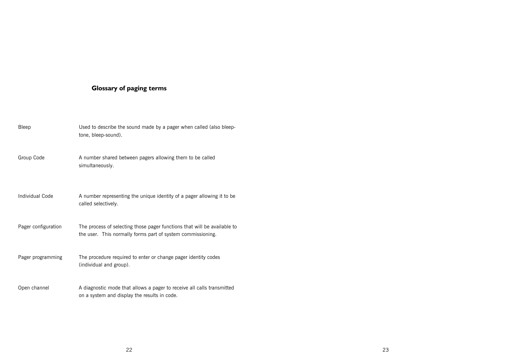## **Glossary of paging terms**

| Bleep                  | Used to describe the sound made by a pager when called (also bleep-<br>tone, bleep-sound).                                              |
|------------------------|-----------------------------------------------------------------------------------------------------------------------------------------|
| Group Code             | A number shared between pagers allowing them to be called<br>simultaneously.                                                            |
| <b>Individual Code</b> | A number representing the unique identity of a pager allowing it to be<br>called selectively.                                           |
| Pager configuration    | The process of selecting those pager functions that will be available to<br>the user. This normally forms part of system commissioning. |
| Pager programming      | The procedure required to enter or change pager identity codes<br>(individual and group).                                               |
| Open channel           | A diagnostic mode that allows a pager to receive all calls transmitted<br>on a system and display the results in code.                  |